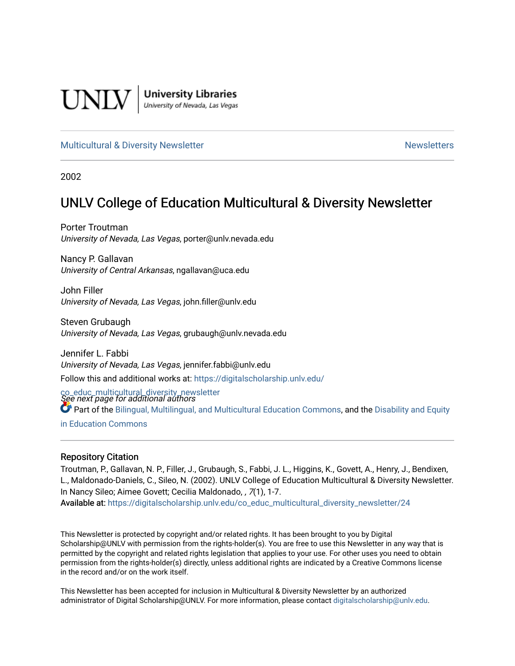

**University Libraries**<br>University of Nevada, Las Vegas

#### [Multicultural & Diversity Newsletter](https://digitalscholarship.unlv.edu/co_educ_multicultural_diversity_newsletter) Newsletter [Newsletters](https://digitalscholarship.unlv.edu/co_educ_newsletters) Newsletters

2002

## UNLV College of Education Multicultural & Diversity Newsletter

Porter Troutman University of Nevada, Las Vegas, porter@unlv.nevada.edu

Nancy P. Gallavan University of Central Arkansas, ngallavan@uca.edu

John Filler University of Nevada, Las Vegas, john.filler@unlv.edu

Steven Grubaugh University of Nevada, Las Vegas, grubaugh@unlv.nevada.edu

Jennifer L. Fabbi University of Nevada, Las Vegas, jennifer.fabbi@unlv.edu Follow this and additional works at: [https://digitalscholarship.unlv.edu/](https://digitalscholarship.unlv.edu/co_educ_multicultural_diversity_newsletter?utm_source=digitalscholarship.unlv.edu%2Fco_educ_multicultural_diversity_newsletter%2F24&utm_medium=PDF&utm_campaign=PDFCoverPages)

co\_educ\_multicultural\_diversity\_newsletter<br>See next page for additional authors Part of the [Bilingual, Multilingual, and Multicultural Education Commons,](http://network.bepress.com/hgg/discipline/785?utm_source=digitalscholarship.unlv.edu%2Fco_educ_multicultural_diversity_newsletter%2F24&utm_medium=PDF&utm_campaign=PDFCoverPages) and the [Disability and Equity](http://network.bepress.com/hgg/discipline/1040?utm_source=digitalscholarship.unlv.edu%2Fco_educ_multicultural_diversity_newsletter%2F24&utm_medium=PDF&utm_campaign=PDFCoverPages)  [in Education Commons](http://network.bepress.com/hgg/discipline/1040?utm_source=digitalscholarship.unlv.edu%2Fco_educ_multicultural_diversity_newsletter%2F24&utm_medium=PDF&utm_campaign=PDFCoverPages)

#### Repository Citation

Troutman, P., Gallavan, N. P., Filler, J., Grubaugh, S., Fabbi, J. L., Higgins, K., Govett, A., Henry, J., Bendixen, L., Maldonado-Daniels, C., Sileo, N. (2002). UNLV College of Education Multicultural & Diversity Newsletter. In Nancy Sileo; Aimee Govett; Cecilia Maldonado, , 7(1), 1-7. Available at: [https://digitalscholarship.unlv.edu/co\\_educ\\_multicultural\\_diversity\\_newsletter/24](https://digitalscholarship.unlv.edu/co_educ_multicultural_diversity_newsletter/24) 

This Newsletter is protected by copyright and/or related rights. It has been brought to you by Digital Scholarship@UNLV with permission from the rights-holder(s). You are free to use this Newsletter in any way that is permitted by the copyright and related rights legislation that applies to your use. For other uses you need to obtain permission from the rights-holder(s) directly, unless additional rights are indicated by a Creative Commons license in the record and/or on the work itself.

This Newsletter has been accepted for inclusion in Multicultural & Diversity Newsletter by an authorized administrator of Digital Scholarship@UNLV. For more information, please contact [digitalscholarship@unlv.edu.](mailto:digitalscholarship@unlv.edu)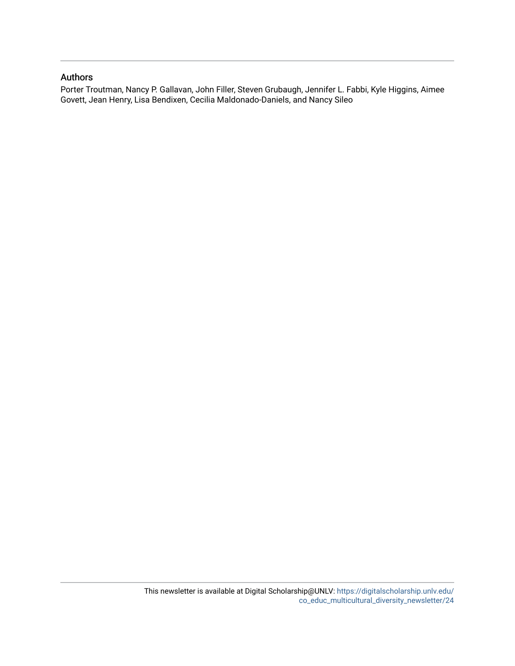#### Authors

Porter Troutman, Nancy P. Gallavan, John Filler, Steven Grubaugh, Jennifer L. Fabbi, Kyle Higgins, Aimee Govett, Jean Henry, Lisa Bendixen, Cecilia Maldonado-Daniels, and Nancy Sileo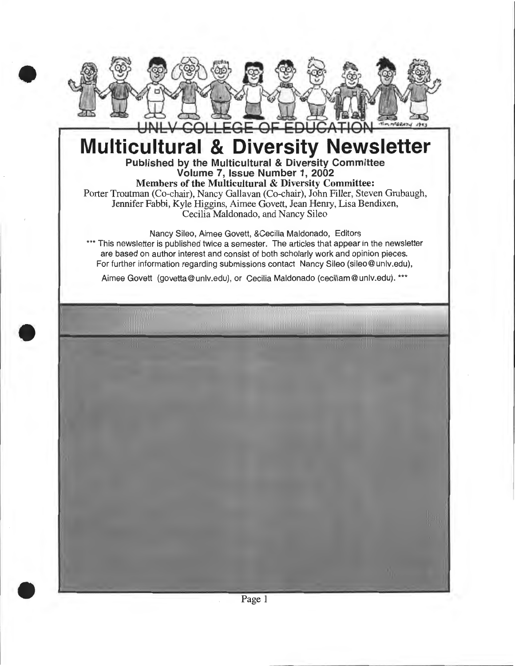

# **Multicultural & Diversity Newsletter**  Published by the Multicultural & Diversity Committee

Volume 7, Issue Number 1, 2002 Members of the Multicultural & Diversity Committee: Porter Troutman (Co-chair), Nancy Gallavan (Co-chair), John Filler, Steven Grubaugh, Jennifer Fabbi, Kyle Higgins, Aimee Govett, Jean Henry, Lisa Bendixen, Cecilia Maldonado, and Nancy Sileo

Nancy Sileo, Aimee Govett, &Cecilia Maldonado, Editors \*\*\* This newsletter is published twice a semester. The articles that appear in the newsletter are based on author interest and consist of both scholarly work and opinion pieces. For further information regarding submissions contact Nancy Sileo (sileo@unlv.edu),

Aimee Govett (govetta@ unlv.edu), or Cecilia Maldonado (ceciliam@ unlv.edu). \*\*\*

•

•

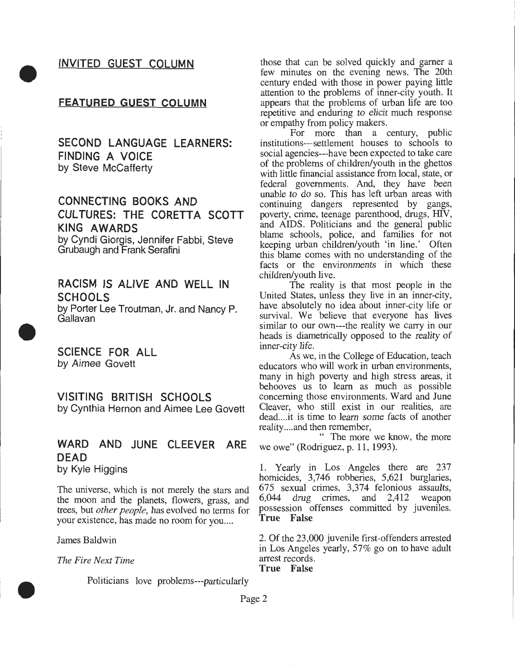#### INVITED GUEST COLUMN

•

•

•

#### FEATURED GUEST COLUMN

SECOND LANGUAGE LEARNERS: FINDING A VOICE by Steve McCafferty

#### CONNECTING BOOKS AND CULTURES: THE CORETTA SCOTT KING AWARDS by Cyndi Giorgis, Jennifer Fabbi, Steve Grubaugh and Frank Serafini

RACISM IS ALIVE AND WELL IN **SCHOOLS** by Porter Lee Troutman, Jr. and Nancy P. Gallavan

SCIENCE FOR ALL by Aimee Govett

VISITING BRITISH SCHOOLS by Cynthia Hernon and Aimee Lee Govett

# WARD AND JUNE CLEEVER ARE DEAD

by Kyle Higgins

The universe, which is not merely the stars and the moon and the planets, flowers, grass, and trees, but *other people,* has evolved no terms for your existence, has made no room for you....

#### James Baldwin

*The Fire Next Time* 

Politicians love problems---particularly

those that can be solved quickly and garner a few minutes on the evening news. The 20th century ended with those in power paying little attention to the problems of inner-city youth. It appears that the problems of urban life are too repetitive and enduring to elicit much response or empathy from policy makers.

For more than a century, public institutions---settlement houses to schools to social agencies---have been expected to take care of the problems of children/youth in the ghettos with little financial assistance from local, state, or federal governments. And, they have been unable to do so. This has left urban areas with continuing dangers represented by gangs, poverty, crime, teenage parenthood, drugs, HIV, and AIDS. Politicians and the general public blame schools, police, and families for not keeping urban children/youth 'in line.' Often this blame comes with no understanding of the facts or the environments in which these children/youth live.

The reality is that most people in the United States, unless they live in an inner-city, have absolutely no idea about inner-city life or survival. We believe that everyone has lives similar to our own---the reality we carry in our heads is diametrically opposed to the reality of inner-city life.

As we, in the College of Education, teach educators who will work in urban environments, many in high poverty and high stress areas, it behooves us to learn as much as possible concerning those environments. Ward and June Cleaver, who still exist in our realities, are dead....it is time to learn some facts of another reality .... and then remember,

" The more we know, the more we owe" (Rodriguez, p. 11, 1993).

1. Yearly in Los Angeles there are 237 homicides, 3,746 robberies, 5,621 burglaries, 675 sexual crimes, 3,374 felonious assaults, 6,044 drug crimes, and 2,412 weapon possession offenses committed by juveniles. True False

2. Of the 23,000 juvenile first-offenders arrested in Los Angeles yearly, 57% go on to have adult arrest records.

True False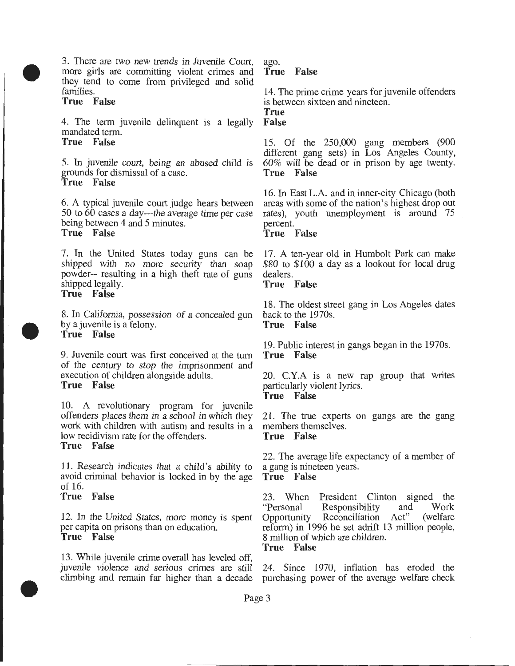3. There are two new trends in Juvenile Court, more girls are committing violent crimes and they tend to come from privileged and solid families.

#### True False

•

•

•

4. The term juvenile delinquent is a legally mandated term.

True False

5. In juvenile court, being an abused child is grounds for dismissal of a case. True False

6. A typical juvenile court judge hears between 50 to 60 cases a day---the average time per case being between 4 and 5 minutes. True False

7. In the United States today guns can be shipped with no more security than soap powder-- resulting in a high theft rate of guns shipped legally. True False

8. In California, possession of a concealed gun back to the 1970s. by a juvenile is a felony. True False True False

9. Juvenile court was first conceived at the turn of the century to stop the imprisonment and execution of children alongside adults. True False

10. A revolutionary program for juvenile offenders places them in a school in which they work with children with autism and results in a low recidivism rate for the offenders. True False

11. Research indicates that a child's ability to avoid criminal behavior is locked in by the age of 16.

#### True False

12. In the United States, more money is spent per capita on prisons than on education. True False

13. While juvenile crime overall has leveled off, juvenile violence and serious crimes are still 24. Since 1970, inflation has eroded the climbing and remain far higher than a decade purchasing power of the average welfare check

ago. True False

14. The prime crime years for juvenile offenders is between sixteen and nineteen.

True False

15. Of the 250,000 gang members (900 different gang sets) in Los Angeles County, 60% will be dead or in prison by age twenty. True False

16. In East L.A. and in inner-city Chicago (both areas with some of the nation's highest drop out rates), youth unemployment is around 75 percent.

True False

17. A ten-year old in Humbolt Park can make \$80 to \$100 a day as a lookout for local drug dealers.

#### True False

18. The oldest street gang in Los Angeles dates

19. Public interest in gangs began in the 1970s. True False

20. C.Y.A is a new rap group that writes particularly violent lyrics. True False

21. The true experts on gangs are the gang members themselves. True False

22. The average life expectancy of a member of a gang is nineteen years.

#### True False

23. When President Clinton signed the "Personal Responsibility and Work Opportunity Reconciliation Act" (welfare reform) in 1996 he set adrift 13 million people, 8 million of which are children. True False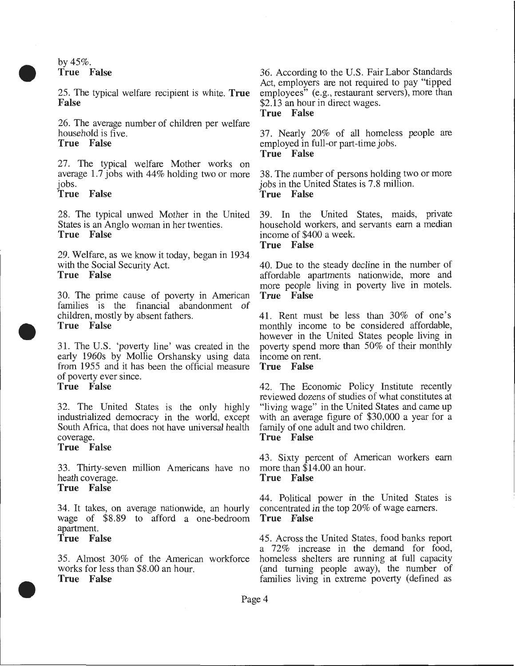by  $45\%$ . **True False** 

• 25. The typical welfare recipient is white. **True False** 

> 26. The average number of children per welfare household is five.

#### **True False**

27. The typical welfare Mother works on average 1.7 jobs with 44% holding two or more jobs.

#### **True False**

28. The typical unwed Mother in the United States is an Anglo woman in her twenties. **True False** 

29. Welfare, as we know it today, began in 1934 with the Social Security Act. **True False** 

30. The prime cause of poverty in American families is the financial abandonment of children, mostly by absent fathers. **True False** 

31. The U.S. 'poverty line' was created in the early 1960s by Mollie Orshansky using data from 1955 and it has been the official measure of poverty ever since.

### **True False**

•

•

32. The United States is the only highly industrialized democracy in the world, except South Africa, that does not have universal health coverage.

#### **True False**

33. Thirty-seven million Americans have no heath coverage. **True False** 

**True False** 

34. It takes, on average nationwide, an hourly concentrated in the top  $20\%$  of wage earners.<br>wage of \$8.89 to afford a one-bedroom **True False** wage of \$8.89 to afford a one-bedroom apartment. **True False** 

#### 35. Almost 30% of the American workforce works for less than \$8.00 an hour. **True False**

36. According to the U.S. Fair Labor Standards Act, employers are not required to pay "tipped employees" (e.g., restaurant servers), more than \$2.13 an hour in direct wages. **True False** 

#### 37. Nearly 20% of all homeless people are employed in full-or part-time jobs. **True False**

38. The number of persons holding two or more jobs in the United States is 7.8 million. **True False** 

39. In the United States, maids, private household workers, and servants earn a median income of \$400 a week. **True False** 

40. Due to the steady decline in the number of affordable apartments nationwide, more and more people living in poverty live in motels. **True False** 

41. Rent must be less than 30% of one's monthly income to be considered affordable, however in the United States people living in poverty spend more than 50% of their monthly income on rent.

#### **True False**

42. The Economic Policy Institute recently reviewed dozens of studies of what constitutes at "living wage" in the United States and came up with an average figure of \$30,000 a year for a family of one adult and two children.

#### **True False**

43. Sixty percent of American workers earn more than \$14.00 an hour.

44. Political power in the United States is

45. Across the United States, food banks report a 72% increase in the demand for food, homeless shelters are running at full capacity (and turning people away), the number of families living in extreme poverty (defined as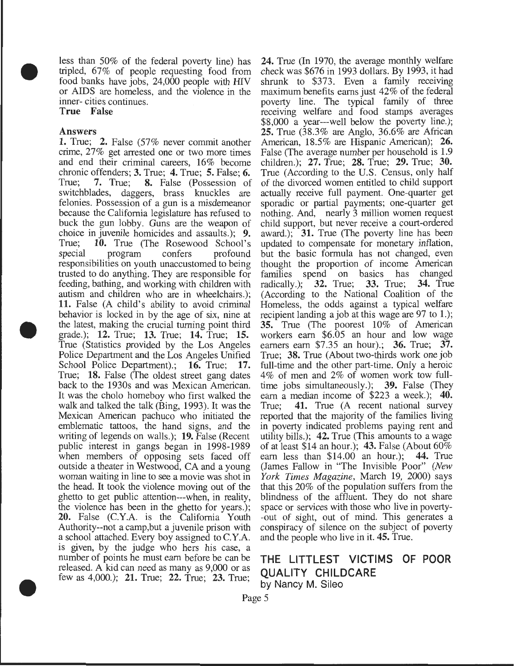less than 50% of the federal poverty line) has tripled, 67% of people requesting food from food banks have jobs, 24,000 people with HIV or AIDS are homeless, and the violence in the inner- cities continues.

True False

#### Answers

•

•

•

1. True; 2. False (57% never commit another crime, 27% get arrested one or two more times and end their criminal careers, 16% become chronic offenders; 3. True; 4. True; 5. False; 6. True; 7. True; 8. False (Possession of switchblades, daggers, brass knuckles are felonies. Possession of a gun is a misdemeanor because the California legislature has refused to buck the gun lobby. Guns are the weapon of choice in juvenile homicides and assaults.); 9. True; 10. True (The Rosewood School's special program confers profound responsibilities on youth unaccustomed to being trusted to do anything. They are responsible for feeding, bathing, and working with children with autism and children who are in wheelchairs.); 11. False (A child's ability to avoid criminal behavior is locked in by the age of six, nine at the latest, making the crucial turning point third grade.); 12. True; 13. True; 14. True; 15. True (Statistics provided by the Los Angeles Police Department and the Los Angeles Unified School Police Department).; 16. True; 17. True; 18. False (The oldest street gang dates back to the 1930s and was Mexican American. It was the cholo homeboy who first walked the walk and talked the talk (Bing, 1993). It was the Mexican American pachuco who initiated the emblematic tattoos, the hand signs, and the writing of legends on walls.); 19. False (Recent public interest in gangs began in 1998-1989 when members of opposing sets faced off outside a theater in Westwood, CA and a young woman waiting in line to see a movie was shot in the head. It took the violence moving out of the ghetto to get public attention---when, in reality, the violence has been in the ghetto for years.); 20. False (C.Y.A. is the California Youth Authority--not a camp,but a juvenile prison with a school attached. Every boy assigned to C.Y.A. is given, by the judge who hers his case, a number of points he must earn before be can be released. A kid can need as many as 9,000 or as few as 4,000.); 21. True; 22. True; 23. True;

24. True (In 1970, the average monthly welfare check was \$676 in 1993 dollars. By 1993, it had shrunk to \$373. Even a family receiving maximum benefits earns just 42% of the federal poverty line. The typical family of three receiving welfare and food stamps averages \$8,000 a year---well below the poverty line.); 25. True (38.3% are Anglo, 36.6% are African American, 18.5% are Hispanic American); 26. False (The average number per household is 1.9 children.); 27. True; 28. True; 29. True; 30. True (According to the U.S. Census, only half of the divorced women entitled to child support actually receive full payment. One-quarter get sporadic or partial payments; one-quarter get nothing. And, nearly 3 million women request child support, but never receive a court-ordered award.); 31. True (The poverty line has been updated to compensate for monetary inflation, but the basic formula has not changed, even thought the proportion of income American families spend on basics has changed<br>radically.): 32. True: 33. True: 34. True radically.):  $\overline{32}$ . True;  $\overline{33}$ . True; (According to the National Coalition of the Homeless, the odds against a typical welfare recipient landing a job at this wage are 97 to 1.); 35. True (The poorest 10% of American workers earn \$6.05 an hour and low wage earners earn \$7.35 an hour).; 36. True; 37. True; 38. True (About two-thirds work one job full-time and the other part-time. Only a heroic 4% of men and 2% of women work tow fulltime jobs simultaneously.); 39. False (They earn a median income of \$223 a week.); 40. True; 41. True (A recent national survey reported that the majority of the families living in poverty indicated problems paying rent and utility bills.); 42. True (This amounts to a wage of at least \$14 an hour.); 43. False (About  $60\%$ ) earn less than \$14.00 an hour.); 44. True (James Fallow in "The Invisible Poor" *(New York Times Magazine,* March 19, 2000) says that this 20% of the population suffers from the blindness of the affluent. They do not share space or services with those who live in poverty- -out of sight, out of mind. This generates a conspiracy of silence on the subject of poverty and the people who live in it. 45. True.

#### THE LITTLEST VICTIMS OF POOR QUALITY CHILDCARE by Nancy M. Sileo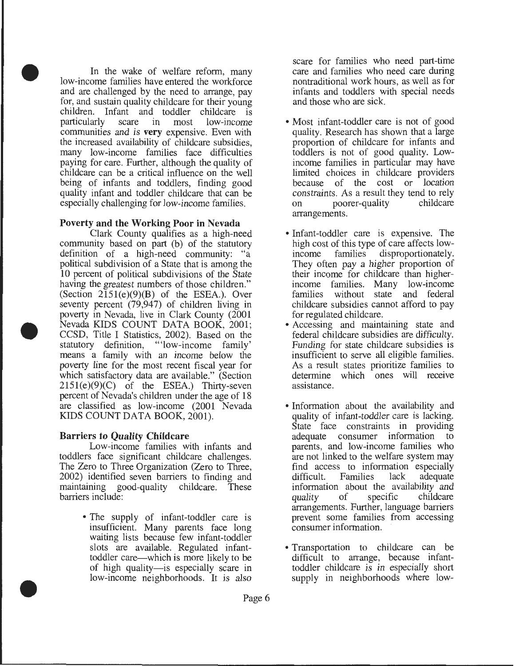In the wake of welfare reform, many low-income families have entered the workforce and are challenged by the need to arrange, pay for, and sustain quality childcare for their young children. Infant and toddler childcare is<br>particularly scare in most low-income low-income communities and is **very** expensive. Even with the increased availability of childcare subsidies, many low-income families face difficulties paying for care. Further, although the quality of childcare can be a critical influence on the well being of infants and toddlers, finding good quality infant and toddler childcare that can be especially challenging for low-income families.

•

•

•

#### **Poverty and the Working Poor in Nevada**

Clark County qualifies as a high-need community based on part (b) of the statutory definition of a high-need community: "a political subdivision of a State that is among the 10 percent of political subdivisions of the State having the greatest numbers of those children." (Section  $2\overline{1}51(e)(9)(B)$  of the ESEA.). Over seventy percent (79,947) of children living in poverty in Nevada, live in Clark County (2001 Nevada KIDS COUNT DATA BOOK, 2001; CCSD, Title I Statistics, 2002). Based on the statutory definition, "'low-income family' means a family with an income below the poverty line for the most recent fiscal year for which satisfactory data are available." (Section  $2151(e)(9)(C)$  of the ESEA.) Thirty-seven percent of Nevada's children under the age of 18 are classified as low-income (2001 Nevada KIDS COUNT DATA BOOK, 2001).

#### **Barriers to Quality Childcare**

Low-income families with infants and toddlers face significant childcare challenges. The Zero to Three Organization (Zero to Three, 2002) identified seven barriers to finding and maintaining good-quality childcare. These barriers include:

> • The supply of infant-toddler care is insufficient. Many parents face long waiting lists because few infant-toddler slots are available. Regulated infanttoddler care-which is more likely to be of high quality-is especially scare in low-income neighborhoods. It is also

scare for families who need part-time care and families who need care during nontraditional work hours, as well as for infants and toddlers with special needs and those who are sick.

- Most infant-toddler care is not of good quality. Research has shown that a large proportion of childcare for infants and toddlers is not of good quality. Lowincome families in particular may have limited choices in childcare providers because of the cost or location constraints. As a result they tend to rely<br>on poorer-quality childcare on poorer-quality arrangements.
- Infant-toddler care is expensive. The high cost of this type of care affects low-<br>income families disproportionately. income families disproportionately. They often pay a higher proportion of their income for childcare than higherincome families. Many low-income families without state and federal childcare subsidies cannot afford to pay for regulated childcare.
- Accessing and maintaining state and federal childcare subsidies are difficulty. Funding for state childcare subsidies is insufficient to serve all eligible families. As a result states prioritize families to determine which ones will receive assistance.
- Information about the availability and quality of infant-toddler care is lacking. State face constraints in providing adequate consumer information to parents, and low-income families who are not linked to the welfare system may find access to information especially<br>difficult. Families lack adequate difficult. Families information about the availability and<br>quality of specific childcare quality of specific childcare arrangements. Further, language barriers prevent some families from accessing consumer information.
- Transportation to childcare can be difficult to arrange, because infanttoddler childcare is in especially short supply in neighborhoods where low-